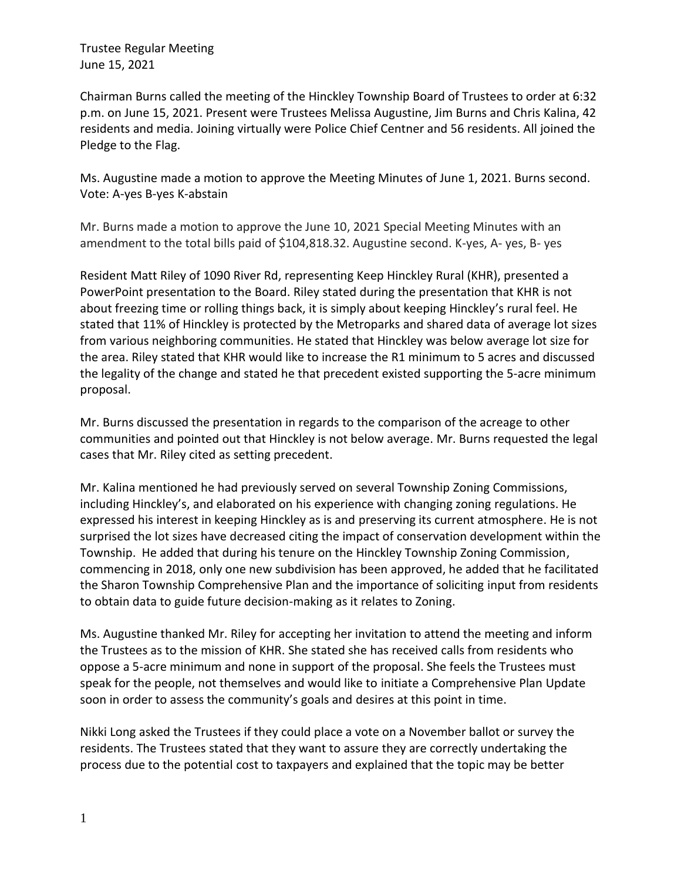Chairman Burns called the meeting of the Hinckley Township Board of Trustees to order at 6:32 p.m. on June 15, 2021. Present were Trustees Melissa Augustine, Jim Burns and Chris Kalina, 42 residents and media. Joining virtually were Police Chief Centner and 56 residents. All joined the Pledge to the Flag.

Ms. Augustine made a motion to approve the Meeting Minutes of June 1, 2021. Burns second. Vote: A-yes B-yes K-abstain

Mr. Burns made a motion to approve the June 10, 2021 Special Meeting Minutes with an amendment to the total bills paid of \$104,818.32. Augustine second. K-yes, A- yes, B- yes

Resident Matt Riley of 1090 River Rd, representing Keep Hinckley Rural (KHR), presented a PowerPoint presentation to the Board. Riley stated during the presentation that KHR is not about freezing time or rolling things back, it is simply about keeping Hinckley's rural feel. He stated that 11% of Hinckley is protected by the Metroparks and shared data of average lot sizes from various neighboring communities. He stated that Hinckley was below average lot size for the area. Riley stated that KHR would like to increase the R1 minimum to 5 acres and discussed the legality of the change and stated he that precedent existed supporting the 5-acre minimum proposal.

Mr. Burns discussed the presentation in regards to the comparison of the acreage to other communities and pointed out that Hinckley is not below average. Mr. Burns requested the legal cases that Mr. Riley cited as setting precedent.

Mr. Kalina mentioned he had previously served on several Township Zoning Commissions, including Hinckley's, and elaborated on his experience with changing zoning regulations. He expressed his interest in keeping Hinckley as is and preserving its current atmosphere. He is not surprised the lot sizes have decreased citing the impact of conservation development within the Township. He added that during his tenure on the Hinckley Township Zoning Commission, commencing in 2018, only one new subdivision has been approved, he added that he facilitated the Sharon Township Comprehensive Plan and the importance of soliciting input from residents to obtain data to guide future decision-making as it relates to Zoning.

Ms. Augustine thanked Mr. Riley for accepting her invitation to attend the meeting and inform the Trustees as to the mission of KHR. She stated she has received calls from residents who oppose a 5-acre minimum and none in support of the proposal. She feels the Trustees must speak for the people, not themselves and would like to initiate a Comprehensive Plan Update soon in order to assess the community's goals and desires at this point in time.

Nikki Long asked the Trustees if they could place a vote on a November ballot or survey the residents. The Trustees stated that they want to assure they are correctly undertaking the process due to the potential cost to taxpayers and explained that the topic may be better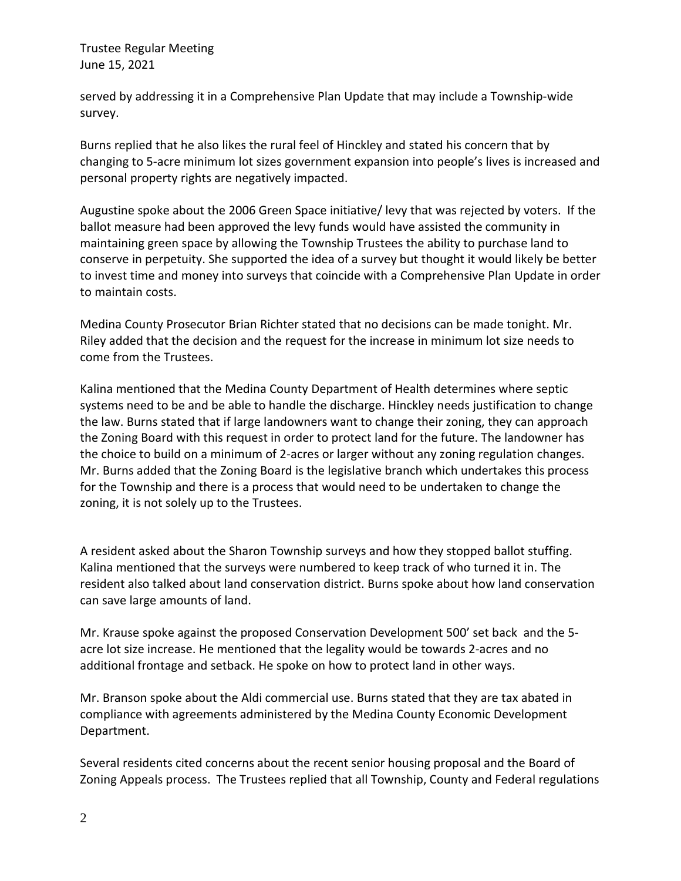served by addressing it in a Comprehensive Plan Update that may include a Township-wide survey.

Burns replied that he also likes the rural feel of Hinckley and stated his concern that by changing to 5-acre minimum lot sizes government expansion into people's lives is increased and personal property rights are negatively impacted.

Augustine spoke about the 2006 Green Space initiative/ levy that was rejected by voters. If the ballot measure had been approved the levy funds would have assisted the community in maintaining green space by allowing the Township Trustees the ability to purchase land to conserve in perpetuity. She supported the idea of a survey but thought it would likely be better to invest time and money into surveys that coincide with a Comprehensive Plan Update in order to maintain costs.

Medina County Prosecutor Brian Richter stated that no decisions can be made tonight. Mr. Riley added that the decision and the request for the increase in minimum lot size needs to come from the Trustees.

Kalina mentioned that the Medina County Department of Health determines where septic systems need to be and be able to handle the discharge. Hinckley needs justification to change the law. Burns stated that if large landowners want to change their zoning, they can approach the Zoning Board with this request in order to protect land for the future. The landowner has the choice to build on a minimum of 2-acres or larger without any zoning regulation changes. Mr. Burns added that the Zoning Board is the legislative branch which undertakes this process for the Township and there is a process that would need to be undertaken to change the zoning, it is not solely up to the Trustees.

A resident asked about the Sharon Township surveys and how they stopped ballot stuffing. Kalina mentioned that the surveys were numbered to keep track of who turned it in. The resident also talked about land conservation district. Burns spoke about how land conservation can save large amounts of land.

Mr. Krause spoke against the proposed Conservation Development 500' set back and the 5 acre lot size increase. He mentioned that the legality would be towards 2-acres and no additional frontage and setback. He spoke on how to protect land in other ways.

Mr. Branson spoke about the Aldi commercial use. Burns stated that they are tax abated in compliance with agreements administered by the Medina County Economic Development Department.

Several residents cited concerns about the recent senior housing proposal and the Board of Zoning Appeals process. The Trustees replied that all Township, County and Federal regulations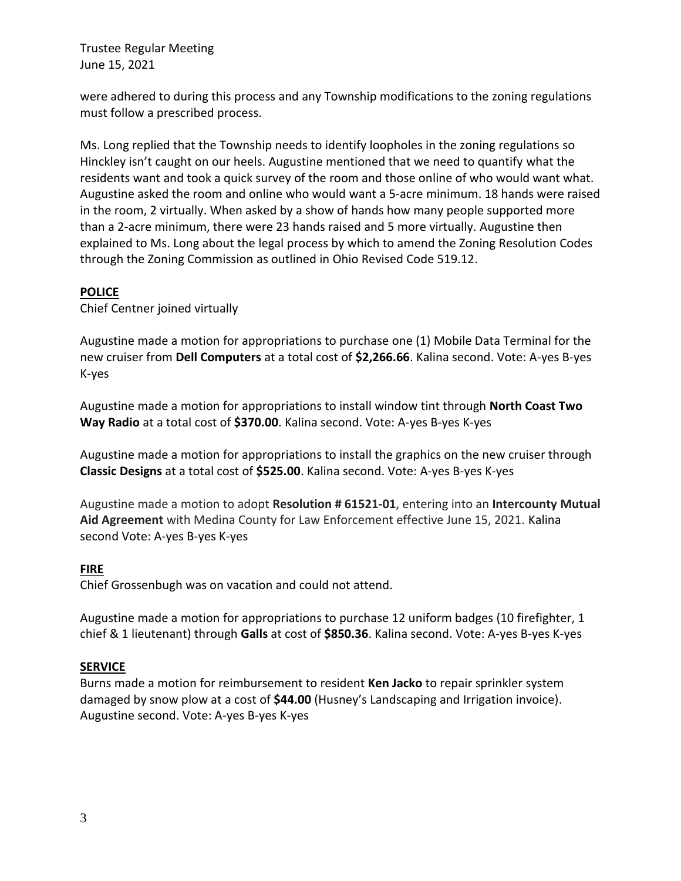were adhered to during this process and any Township modifications to the zoning regulations must follow a prescribed process.

Ms. Long replied that the Township needs to identify loopholes in the zoning regulations so Hinckley isn't caught on our heels. Augustine mentioned that we need to quantify what the residents want and took a quick survey of the room and those online of who would want what. Augustine asked the room and online who would want a 5-acre minimum. 18 hands were raised in the room, 2 virtually. When asked by a show of hands how many people supported more than a 2-acre minimum, there were 23 hands raised and 5 more virtually. Augustine then explained to Ms. Long about the legal process by which to amend the Zoning Resolution Codes through the Zoning Commission as outlined in Ohio Revised Code 519.12.

### **POLICE**

Chief Centner joined virtually

Augustine made a motion for appropriations to purchase one (1) Mobile Data Terminal for the new cruiser from **Dell Computers** at a total cost of **\$2,266.66**. Kalina second. Vote: A-yes B-yes K-yes

Augustine made a motion for appropriations to install window tint through **North Coast Two Way Radio** at a total cost of **\$370.00**. Kalina second. Vote: A-yes B-yes K-yes

Augustine made a motion for appropriations to install the graphics on the new cruiser through **Classic Designs** at a total cost of **\$525.00**. Kalina second. Vote: A-yes B-yes K-yes

Augustine made a motion to adopt **Resolution # 61521-01**, entering into an **Intercounty Mutual Aid Agreement** with Medina County for Law Enforcement effective June 15, 2021. Kalina second Vote: A-yes B-yes K-yes

### **FIRE**

Chief Grossenbugh was on vacation and could not attend.

Augustine made a motion for appropriations to purchase 12 uniform badges (10 firefighter, 1 chief & 1 lieutenant) through **Galls** at cost of **\$850.36**. Kalina second. Vote: A-yes B-yes K-yes

# **SERVICE**

Burns made a motion for reimbursement to resident **Ken Jacko** to repair sprinkler system damaged by snow plow at a cost of **\$44.00** (Husney's Landscaping and Irrigation invoice). Augustine second. Vote: A-yes B-yes K-yes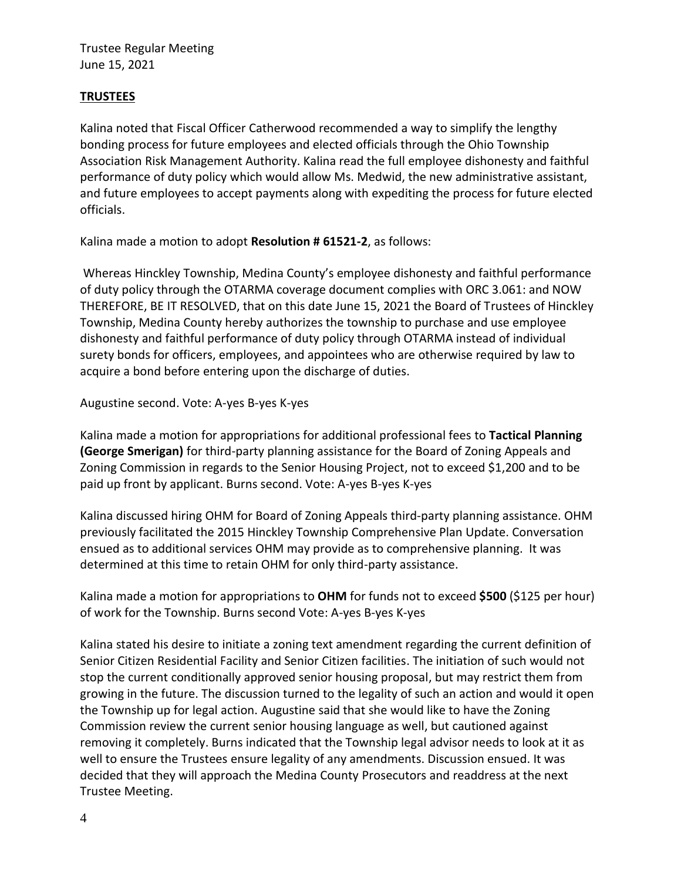## **TRUSTEES**

Kalina noted that Fiscal Officer Catherwood recommended a way to simplify the lengthy bonding process for future employees and elected officials through the Ohio Township Association Risk Management Authority. Kalina read the full employee dishonesty and faithful performance of duty policy which would allow Ms. Medwid, the new administrative assistant, and future employees to accept payments along with expediting the process for future elected officials.

Kalina made a motion to adopt **Resolution # 61521-2**, as follows:

Whereas Hinckley Township, Medina County's employee dishonesty and faithful performance of duty policy through the OTARMA coverage document complies with ORC 3.061: and NOW THEREFORE, BE IT RESOLVED, that on this date June 15, 2021 the Board of Trustees of Hinckley Township, Medina County hereby authorizes the township to purchase and use employee dishonesty and faithful performance of duty policy through OTARMA instead of individual surety bonds for officers, employees, and appointees who are otherwise required by law to acquire a bond before entering upon the discharge of duties.

### Augustine second. Vote: A-yes B-yes K-yes

Kalina made a motion for appropriations for additional professional fees to **Tactical Planning (George Smerigan)** for third-party planning assistance for the Board of Zoning Appeals and Zoning Commission in regards to the Senior Housing Project, not to exceed \$1,200 and to be paid up front by applicant. Burns second. Vote: A-yes B-yes K-yes

Kalina discussed hiring OHM for Board of Zoning Appeals third-party planning assistance. OHM previously facilitated the 2015 Hinckley Township Comprehensive Plan Update. Conversation ensued as to additional services OHM may provide as to comprehensive planning. It was determined at this time to retain OHM for only third-party assistance.

Kalina made a motion for appropriations to **OHM** for funds not to exceed **\$500** (\$125 per hour) of work for the Township. Burns second Vote: A-yes B-yes K-yes

Kalina stated his desire to initiate a zoning text amendment regarding the current definition of Senior Citizen Residential Facility and Senior Citizen facilities. The initiation of such would not stop the current conditionally approved senior housing proposal, but may restrict them from growing in the future. The discussion turned to the legality of such an action and would it open the Township up for legal action. Augustine said that she would like to have the Zoning Commission review the current senior housing language as well, but cautioned against removing it completely. Burns indicated that the Township legal advisor needs to look at it as well to ensure the Trustees ensure legality of any amendments. Discussion ensued. It was decided that they will approach the Medina County Prosecutors and readdress at the next Trustee Meeting.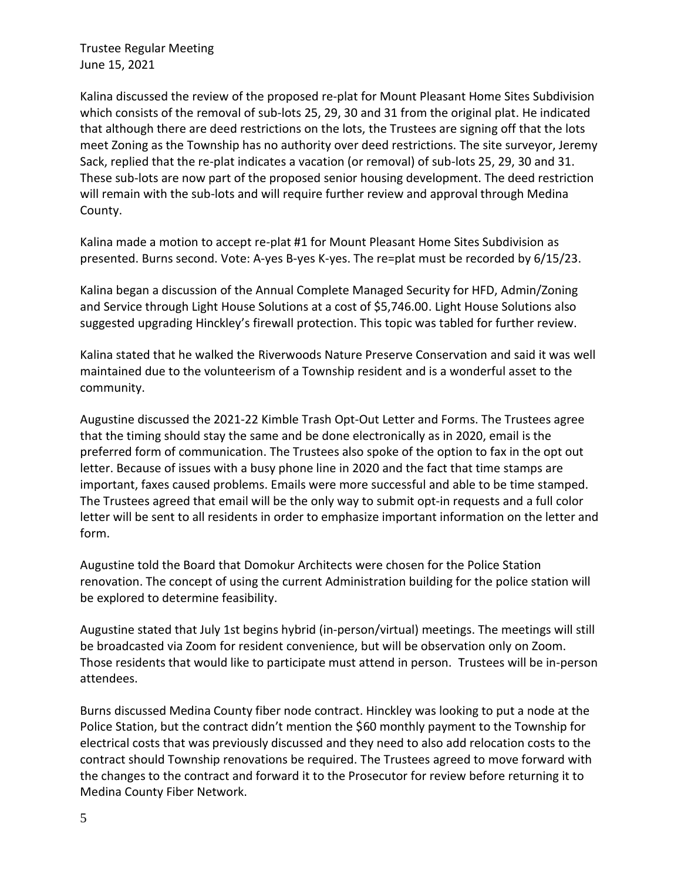Kalina discussed the review of the proposed re-plat for Mount Pleasant Home Sites Subdivision which consists of the removal of sub-lots 25, 29, 30 and 31 from the original plat. He indicated that although there are deed restrictions on the lots, the Trustees are signing off that the lots meet Zoning as the Township has no authority over deed restrictions. The site surveyor, Jeremy Sack, replied that the re-plat indicates a vacation (or removal) of sub-lots 25, 29, 30 and 31. These sub-lots are now part of the proposed senior housing development. The deed restriction will remain with the sub-lots and will require further review and approval through Medina County.

Kalina made a motion to accept re-plat #1 for Mount Pleasant Home Sites Subdivision as presented. Burns second. Vote: A-yes B-yes K-yes. The re=plat must be recorded by 6/15/23.

Kalina began a discussion of the Annual Complete Managed Security for HFD, Admin/Zoning and Service through Light House Solutions at a cost of \$5,746.00. Light House Solutions also suggested upgrading Hinckley's firewall protection. This topic was tabled for further review.

Kalina stated that he walked the Riverwoods Nature Preserve Conservation and said it was well maintained due to the volunteerism of a Township resident and is a wonderful asset to the community.

Augustine discussed the 2021-22 Kimble Trash Opt-Out Letter and Forms. The Trustees agree that the timing should stay the same and be done electronically as in 2020, email is the preferred form of communication. The Trustees also spoke of the option to fax in the opt out letter. Because of issues with a busy phone line in 2020 and the fact that time stamps are important, faxes caused problems. Emails were more successful and able to be time stamped. The Trustees agreed that email will be the only way to submit opt-in requests and a full color letter will be sent to all residents in order to emphasize important information on the letter and form.

Augustine told the Board that Domokur Architects were chosen for the Police Station renovation. The concept of using the current Administration building for the police station will be explored to determine feasibility.

Augustine stated that July 1st begins hybrid (in-person/virtual) meetings. The meetings will still be broadcasted via Zoom for resident convenience, but will be observation only on Zoom. Those residents that would like to participate must attend in person. Trustees will be in-person attendees.

Burns discussed Medina County fiber node contract. Hinckley was looking to put a node at the Police Station, but the contract didn't mention the \$60 monthly payment to the Township for electrical costs that was previously discussed and they need to also add relocation costs to the contract should Township renovations be required. The Trustees agreed to move forward with the changes to the contract and forward it to the Prosecutor for review before returning it to Medina County Fiber Network.